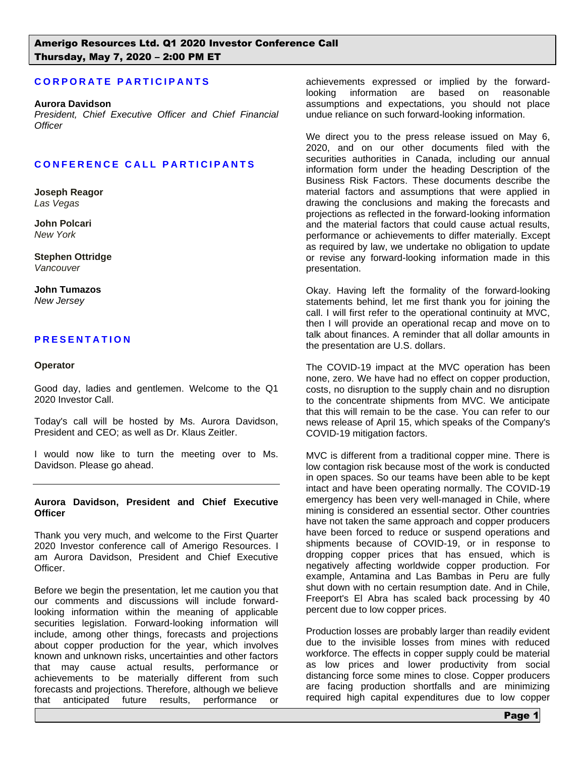# **C O R P O R A T E P A R T I C I P A N T S**

#### **Aurora Davidson**

*President, Chief Executive Officer and Chief Financial Officer*

#### **C O N F E R E N C E C A L L P A R T I C I P A N T S**

**Joseph Reagor** *Las Vegas*

**John Polcari** *New York*

**Stephen Ottridge** *Vancouver*

**John Tumazos** *New Jersey* 

## **P R E S E N T A T I O N**

#### **Operator**

Good day, ladies and gentlemen. Welcome to the Q1 2020 Investor Call.

Today's call will be hosted by Ms. Aurora Davidson, President and CEO; as well as Dr. Klaus Zeitler.

I would now like to turn the meeting over to Ms. Davidson. Please go ahead.

#### **Aurora Davidson, President and Chief Executive Officer**

Thank you very much, and welcome to the First Quarter 2020 Investor conference call of Amerigo Resources. I am Aurora Davidson, President and Chief Executive Officer.

Before we begin the presentation, let me caution you that our comments and discussions will include forwardlooking information within the meaning of applicable securities legislation. Forward-looking information will include, among other things, forecasts and projections about copper production for the year, which involves known and unknown risks, uncertainties and other factors that may cause actual results, performance or achievements to be materially different from such forecasts and projections. Therefore, although we believe that anticipated future results, performance or

achievements expressed or implied by the forwardlooking information are based on reasonable assumptions and expectations, you should not place undue reliance on such forward-looking information.

We direct you to the press release issued on May 6, 2020, and on our other documents filed with the securities authorities in Canada, including our annual information form under the heading Description of the Business Risk Factors. These documents describe the material factors and assumptions that were applied in drawing the conclusions and making the forecasts and projections as reflected in the forward-looking information and the material factors that could cause actual results, performance or achievements to differ materially. Except as required by law, we undertake no obligation to update or revise any forward-looking information made in this presentation.

Okay. Having left the formality of the forward-looking statements behind, let me first thank you for joining the call. I will first refer to the operational continuity at MVC, then I will provide an operational recap and move on to talk about finances. A reminder that all dollar amounts in the presentation are U.S. dollars.

The COVID-19 impact at the MVC operation has been none, zero. We have had no effect on copper production, costs, no disruption to the supply chain and no disruption to the concentrate shipments from MVC. We anticipate that this will remain to be the case. You can refer to our news release of April 15, which speaks of the Company's COVID-19 mitigation factors.

MVC is different from a traditional copper mine. There is low contagion risk because most of the work is conducted in open spaces. So our teams have been able to be kept intact and have been operating normally. The COVID-19 emergency has been very well-managed in Chile, where mining is considered an essential sector. Other countries have not taken the same approach and copper producers have been forced to reduce or suspend operations and shipments because of COVID-19, or in response to dropping copper prices that has ensued, which is negatively affecting worldwide copper production. For example, Antamina and Las Bambas in Peru are fully shut down with no certain resumption date. And in Chile, Freeport's El Abra has scaled back processing by 40 percent due to low copper prices.

Production losses are probably larger than readily evident due to the invisible losses from mines with reduced workforce. The effects in copper supply could be material as low prices and lower productivity from social distancing force some mines to close. Copper producers are facing production shortfalls and are minimizing required high capital expenditures due to low copper

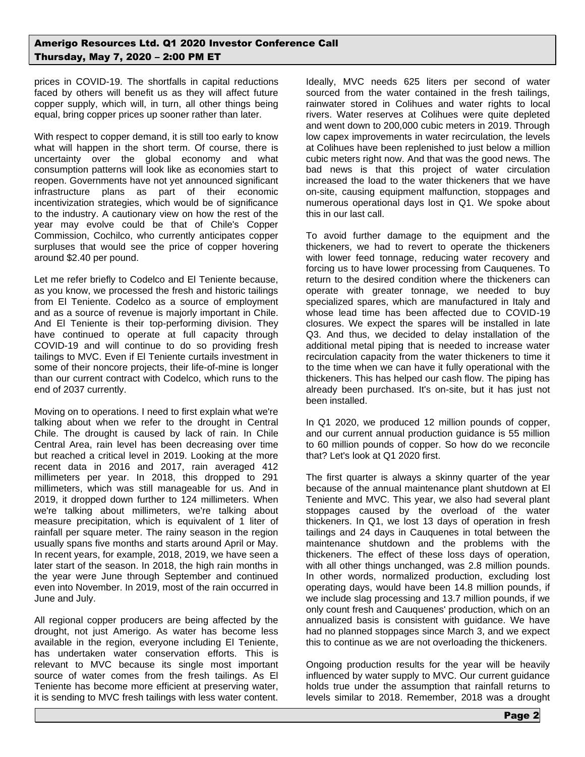prices in COVID-19. The shortfalls in capital reductions faced by others will benefit us as they will affect future copper supply, which will, in turn, all other things being equal, bring copper prices up sooner rather than later.

With respect to copper demand, it is still too early to know what will happen in the short term. Of course, there is uncertainty over the global economy and what consumption patterns will look like as economies start to reopen. Governments have not yet announced significant infrastructure plans as part of their economic incentivization strategies, which would be of significance to the industry. A cautionary view on how the rest of the year may evolve could be that of Chile's Copper Commission, Cochilco, who currently anticipates copper surpluses that would see the price of copper hovering around \$2.40 per pound.

Let me refer briefly to Codelco and El Teniente because, as you know, we processed the fresh and historic tailings from El Teniente. Codelco as a source of employment and as a source of revenue is majorly important in Chile. And El Teniente is their top-performing division. They have continued to operate at full capacity through COVID-19 and will continue to do so providing fresh tailings to MVC. Even if El Teniente curtails investment in some of their noncore projects, their life-of-mine is longer than our current contract with Codelco, which runs to the end of 2037 currently.

Moving on to operations. I need to first explain what we're talking about when we refer to the drought in Central Chile. The drought is caused by lack of rain. In Chile Central Area, rain level has been decreasing over time but reached a critical level in 2019. Looking at the more recent data in 2016 and 2017, rain averaged 412 millimeters per year. In 2018, this dropped to 291 millimeters, which was still manageable for us. And in 2019, it dropped down further to 124 millimeters. When we're talking about millimeters, we're talking about measure precipitation, which is equivalent of 1 liter of rainfall per square meter. The rainy season in the region usually spans five months and starts around April or May. In recent years, for example, 2018, 2019, we have seen a later start of the season. In 2018, the high rain months in the year were June through September and continued even into November. In 2019, most of the rain occurred in June and July.

All regional copper producers are being affected by the drought, not just Amerigo. As water has become less available in the region, everyone including El Teniente, has undertaken water conservation efforts. This is relevant to MVC because its single most important source of water comes from the fresh tailings. As El Teniente has become more efficient at preserving water, it is sending to MVC fresh tailings with less water content.

Ideally, MVC needs 625 liters per second of water sourced from the water contained in the fresh tailings, rainwater stored in Colihues and water rights to local rivers. Water reserves at Colihues were quite depleted and went down to 200,000 cubic meters in 2019. Through low capex improvements in water recirculation, the levels at Colihues have been replenished to just below a million cubic meters right now. And that was the good news. The bad news is that this project of water circulation increased the load to the water thickeners that we have on-site, causing equipment malfunction, stoppages and numerous operational days lost in Q1. We spoke about this in our last call.

To avoid further damage to the equipment and the thickeners, we had to revert to operate the thickeners with lower feed tonnage, reducing water recovery and forcing us to have lower processing from Cauquenes. To return to the desired condition where the thickeners can operate with greater tonnage, we needed to buy specialized spares, which are manufactured in Italy and whose lead time has been affected due to COVID-19 closures. We expect the spares will be installed in late Q3. And thus, we decided to delay installation of the additional metal piping that is needed to increase water recirculation capacity from the water thickeners to time it to the time when we can have it fully operational with the thickeners. This has helped our cash flow. The piping has already been purchased. It's on-site, but it has just not been installed.

In Q1 2020, we produced 12 million pounds of copper, and our current annual production guidance is 55 million to 60 million pounds of copper. So how do we reconcile that? Let's look at Q1 2020 first.

The first quarter is always a skinny quarter of the year because of the annual maintenance plant shutdown at El Teniente and MVC. This year, we also had several plant stoppages caused by the overload of the water thickeners. In Q1, we lost 13 days of operation in fresh tailings and 24 days in Cauquenes in total between the maintenance shutdown and the problems with the thickeners. The effect of these loss days of operation, with all other things unchanged, was 2.8 million pounds. In other words, normalized production, excluding lost operating days, would have been 14.8 million pounds, if we include slag processing and 13.7 million pounds, if we only count fresh and Cauquenes' production, which on an annualized basis is consistent with guidance. We have had no planned stoppages since March 3, and we expect this to continue as we are not overloading the thickeners.

Ongoing production results for the year will be heavily influenced by water supply to MVC. Our current guidance holds true under the assumption that rainfall returns to levels similar to 2018. Remember, 2018 was a drought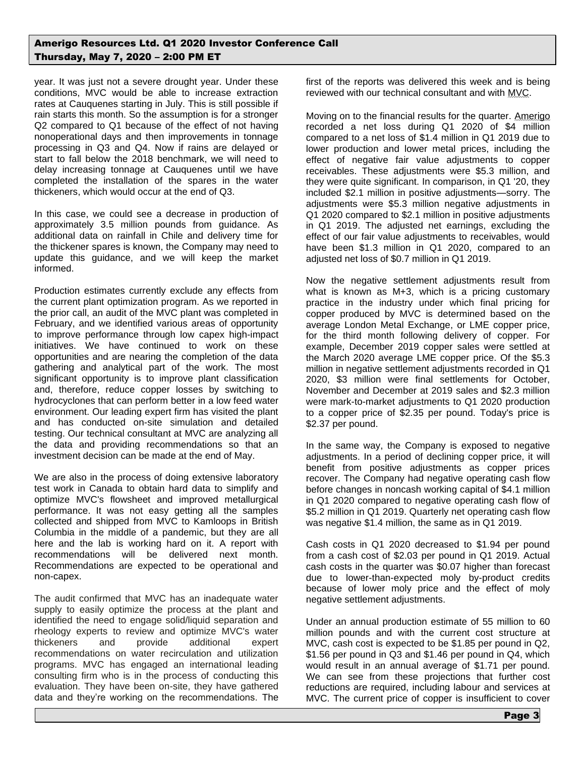year. It was just not a severe drought year. Under these conditions, MVC would be able to increase extraction rates at Cauquenes starting in July. This is still possible if rain starts this month. So the assumption is for a stronger Q2 compared to Q1 because of the effect of not having nonoperational days and then improvements in tonnage processing in Q3 and Q4. Now if rains are delayed or start to fall below the 2018 benchmark, we will need to delay increasing tonnage at Cauquenes until we have completed the installation of the spares in the water thickeners, which would occur at the end of Q3.

In this case, we could see a decrease in production of approximately 3.5 million pounds from guidance. As additional data on rainfall in Chile and delivery time for the thickener spares is known, the Company may need to update this guidance, and we will keep the market informed.

Production estimates currently exclude any effects from the current plant optimization program. As we reported in the prior call, an audit of the MVC plant was completed in February, and we identified various areas of opportunity to improve performance through low capex high-impact initiatives. We have continued to work on these opportunities and are nearing the completion of the data gathering and analytical part of the work. The most significant opportunity is to improve plant classification and, therefore, reduce copper losses by switching to hydrocyclones that can perform better in a low feed water environment. Our leading expert firm has visited the plant and has conducted on-site simulation and detailed testing. Our technical consultant at MVC are analyzing all the data and providing recommendations so that an investment decision can be made at the end of May.

We are also in the process of doing extensive laboratory test work in Canada to obtain hard data to simplify and optimize MVC's flowsheet and improved metallurgical performance. It was not easy getting all the samples collected and shipped from MVC to Kamloops in British Columbia in the middle of a pandemic, but they are all here and the lab is working hard on it. A report with recommendations will be delivered next month. Recommendations are expected to be operational and non-capex.

The audit confirmed that MVC has an inadequate water supply to easily optimize the process at the plant and identified the need to engage solid/liquid separation and rheology experts to review and optimize MVC's water thickeners and provide additional expert recommendations on water recirculation and utilization programs. MVC has engaged an international leading consulting firm who is in the process of conducting this evaluation. They have been on-site, they have gathered data and they're working on the recommendations. The

first of the reports was delivered this week and is being reviewed with our technical consultant and with MVC.

Moving on to the financial results for the quarter. Amerigo recorded a net loss during Q1 2020 of \$4 million compared to a net loss of \$1.4 million in Q1 2019 due to lower production and lower metal prices, including the effect of negative fair value adjustments to copper receivables. These adjustments were \$5.3 million, and they were quite significant. In comparison, in Q1 '20, they included \$2.1 million in positive adjustments—sorry. The adjustments were \$5.3 million negative adjustments in Q1 2020 compared to \$2.1 million in positive adjustments in Q1 2019. The adjusted net earnings, excluding the effect of our fair value adjustments to receivables, would have been \$1.3 million in Q1 2020, compared to an adjusted net loss of \$0.7 million in Q1 2019.

Now the negative settlement adjustments result from what is known as M+3, which is a pricing customary practice in the industry under which final pricing for copper produced by MVC is determined based on the average London Metal Exchange, or LME copper price, for the third month following delivery of copper. For example, December 2019 copper sales were settled at the March 2020 average LME copper price. Of the \$5.3 million in negative settlement adjustments recorded in Q1 2020, \$3 million were final settlements for October, November and December at 2019 sales and \$2.3 million were mark-to-market adjustments to Q1 2020 production to a copper price of \$2.35 per pound. Today's price is \$2.37 per pound.

In the same way, the Company is exposed to negative adjustments. In a period of declining copper price, it will benefit from positive adjustments as copper prices recover. The Company had negative operating cash flow before changes in noncash working capital of \$4.1 million in Q1 2020 compared to negative operating cash flow of \$5.2 million in Q1 2019. Quarterly net operating cash flow was negative \$1.4 million, the same as in Q1 2019.

Cash costs in Q1 2020 decreased to \$1.94 per pound from a cash cost of \$2.03 per pound in Q1 2019. Actual cash costs in the quarter was \$0.07 higher than forecast due to lower-than-expected moly by-product credits because of lower moly price and the effect of moly negative settlement adjustments.

Under an annual production estimate of 55 million to 60 million pounds and with the current cost structure at MVC, cash cost is expected to be \$1.85 per pound in Q2, \$1.56 per pound in Q3 and \$1.46 per pound in Q4, which would result in an annual average of \$1.71 per pound. We can see from these projections that further cost reductions are required, including labour and services at MVC. The current price of copper is insufficient to cover

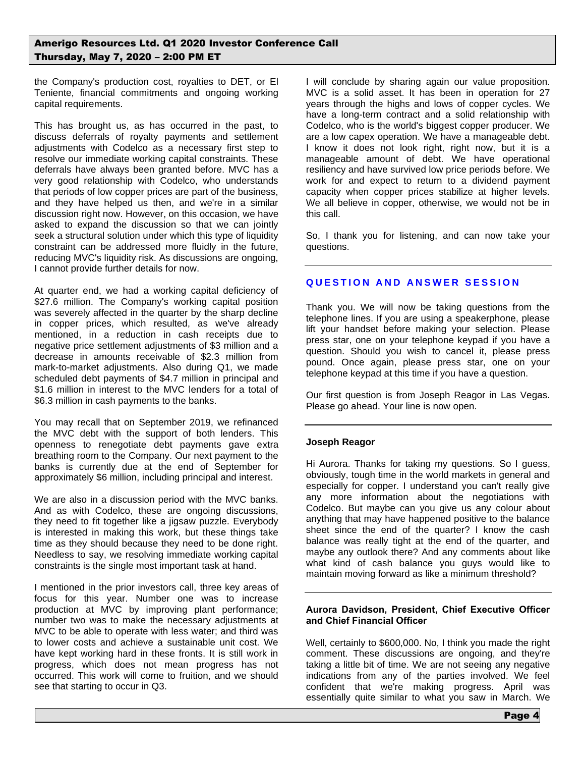the Company's production cost, royalties to DET, or El Teniente, financial commitments and ongoing working capital requirements.

This has brought us, as has occurred in the past, to discuss deferrals of royalty payments and settlement adjustments with Codelco as a necessary first step to resolve our immediate working capital constraints. These deferrals have always been granted before. MVC has a very good relationship with Codelco, who understands that periods of low copper prices are part of the business, and they have helped us then, and we're in a similar discussion right now. However, on this occasion, we have asked to expand the discussion so that we can jointly seek a structural solution under which this type of liquidity constraint can be addressed more fluidly in the future, reducing MVC's liquidity risk. As discussions are ongoing, I cannot provide further details for now.

At quarter end, we had a working capital deficiency of \$27.6 million. The Company's working capital position was severely affected in the quarter by the sharp decline in copper prices, which resulted, as we've already mentioned, in a reduction in cash receipts due to negative price settlement adjustments of \$3 million and a decrease in amounts receivable of \$2.3 million from mark-to-market adjustments. Also during Q1, we made scheduled debt payments of \$4.7 million in principal and \$1.6 million in interest to the MVC lenders for a total of \$6.3 million in cash payments to the banks.

You may recall that on September 2019, we refinanced the MVC debt with the support of both lenders. This openness to renegotiate debt payments gave extra breathing room to the Company. Our next payment to the banks is currently due at the end of September for approximately \$6 million, including principal and interest.

We are also in a discussion period with the MVC banks. And as with Codelco, these are ongoing discussions, they need to fit together like a jigsaw puzzle. Everybody is interested in making this work, but these things take time as they should because they need to be done right. Needless to say, we resolving immediate working capital constraints is the single most important task at hand.

I mentioned in the prior investors call, three key areas of focus for this year. Number one was to increase production at MVC by improving plant performance; number two was to make the necessary adjustments at MVC to be able to operate with less water; and third was to lower costs and achieve a sustainable unit cost. We have kept working hard in these fronts. It is still work in progress, which does not mean progress has not occurred. This work will come to fruition, and we should see that starting to occur in Q3.

I will conclude by sharing again our value proposition. MVC is a solid asset. It has been in operation for 27 years through the highs and lows of copper cycles. We have a long-term contract and a solid relationship with Codelco, who is the world's biggest copper producer. We are a low capex operation. We have a manageable debt. I know it does not look right, right now, but it is a manageable amount of debt. We have operational resiliency and have survived low price periods before. We work for and expect to return to a dividend payment capacity when copper prices stabilize at higher levels. We all believe in copper, otherwise, we would not be in this call.

So, I thank you for listening, and can now take your questions.

# **QUESTION AND ANSWER SESSION**

Thank you. We will now be taking questions from the telephone lines. If you are using a speakerphone, please lift your handset before making your selection. Please press star, one on your telephone keypad if you have a question. Should you wish to cancel it, please press pound. Once again, please press star, one on your telephone keypad at this time if you have a question.

Our first question is from Joseph Reagor in Las Vegas. Please go ahead. Your line is now open.

## **Joseph Reagor**

Hi Aurora. Thanks for taking my questions. So I guess, obviously, tough time in the world markets in general and especially for copper. I understand you can't really give any more information about the negotiations with Codelco. But maybe can you give us any colour about anything that may have happened positive to the balance sheet since the end of the quarter? I know the cash balance was really tight at the end of the quarter, and maybe any outlook there? And any comments about like what kind of cash balance you guys would like to maintain moving forward as like a minimum threshold?

## **Aurora Davidson, President, Chief Executive Officer and Chief Financial Officer**

Well, certainly to \$600,000. No, I think you made the right comment. These discussions are ongoing, and they're taking a little bit of time. We are not seeing any negative indications from any of the parties involved. We feel confident that we're making progress. April was essentially quite similar to what you saw in March. We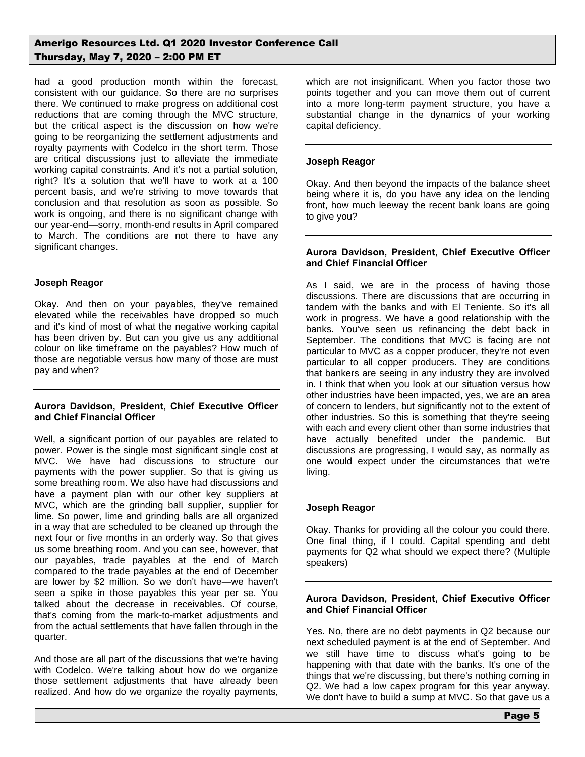had a good production month within the forecast, consistent with our guidance. So there are no surprises there. We continued to make progress on additional cost reductions that are coming through the MVC structure, but the critical aspect is the discussion on how we're going to be reorganizing the settlement adjustments and royalty payments with Codelco in the short term. Those are critical discussions just to alleviate the immediate working capital constraints. And it's not a partial solution, right? It's a solution that we'll have to work at a 100 percent basis, and we're striving to move towards that conclusion and that resolution as soon as possible. So work is ongoing, and there is no significant change with our year-end—sorry, month-end results in April compared to March. The conditions are not there to have any significant changes.

# **Joseph Reagor**

Okay. And then on your payables, they've remained elevated while the receivables have dropped so much and it's kind of most of what the negative working capital has been driven by. But can you give us any additional colour on like timeframe on the payables? How much of those are negotiable versus how many of those are must pay and when?

## **Aurora Davidson, President, Chief Executive Officer and Chief Financial Officer**

Well, a significant portion of our payables are related to power. Power is the single most significant single cost at MVC. We have had discussions to structure our payments with the power supplier. So that is giving us some breathing room. We also have had discussions and have a payment plan with our other key suppliers at MVC, which are the grinding ball supplier, supplier for lime. So power, lime and grinding balls are all organized in a way that are scheduled to be cleaned up through the next four or five months in an orderly way. So that gives us some breathing room. And you can see, however, that our payables, trade payables at the end of March compared to the trade payables at the end of December are lower by \$2 million. So we don't have—we haven't seen a spike in those payables this year per se. You talked about the decrease in receivables. Of course, that's coming from the mark-to-market adjustments and from the actual settlements that have fallen through in the quarter.

And those are all part of the discussions that we're having with Codelco. We're talking about how do we organize those settlement adjustments that have already been realized. And how do we organize the royalty payments,

which are not insignificant. When you factor those two points together and you can move them out of current into a more long-term payment structure, you have a substantial change in the dynamics of your working capital deficiency.

## **Joseph Reagor**

Okay. And then beyond the impacts of the balance sheet being where it is, do you have any idea on the lending front, how much leeway the recent bank loans are going to give you?

#### **Aurora Davidson, President, Chief Executive Officer and Chief Financial Officer**

As I said, we are in the process of having those discussions. There are discussions that are occurring in tandem with the banks and with El Teniente. So it's all work in progress. We have a good relationship with the banks. You've seen us refinancing the debt back in September. The conditions that MVC is facing are not particular to MVC as a copper producer, they're not even particular to all copper producers. They are conditions that bankers are seeing in any industry they are involved in. I think that when you look at our situation versus how other industries have been impacted, yes, we are an area of concern to lenders, but significantly not to the extent of other industries. So this is something that they're seeing with each and every client other than some industries that have actually benefited under the pandemic. But discussions are progressing, I would say, as normally as one would expect under the circumstances that we're living.

## **Joseph Reagor**

Okay. Thanks for providing all the colour you could there. One final thing, if I could. Capital spending and debt payments for Q2 what should we expect there? (Multiple speakers)

#### **Aurora Davidson, President, Chief Executive Officer and Chief Financial Officer**

Yes. No, there are no debt payments in Q2 because our next scheduled payment is at the end of September. And we still have time to discuss what's going to be happening with that date with the banks. It's one of the things that we're discussing, but there's nothing coming in Q2. We had a low capex program for this year anyway. We don't have to build a sump at MVC. So that gave us a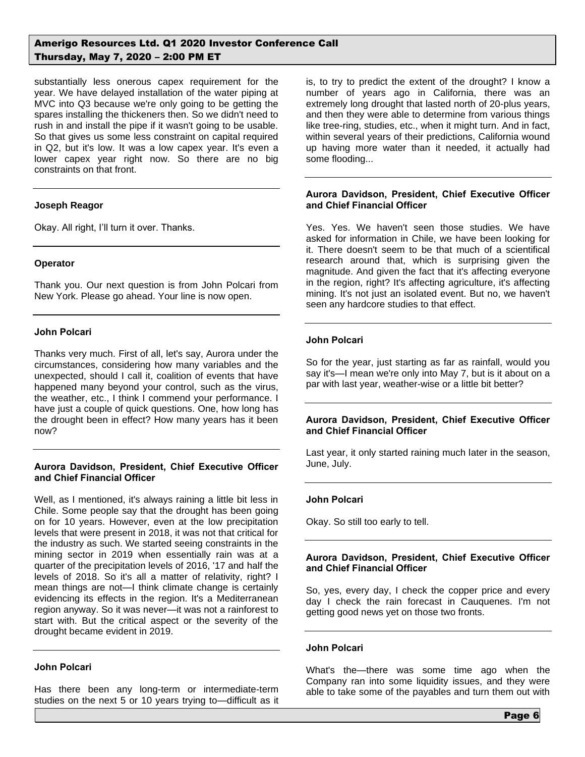substantially less onerous capex requirement for the year. We have delayed installation of the water piping at MVC into Q3 because we're only going to be getting the spares installing the thickeners then. So we didn't need to rush in and install the pipe if it wasn't going to be usable. So that gives us some less constraint on capital required in Q2, but it's low. It was a low capex year. It's even a lower capex year right now. So there are no big constraints on that front.

# **Joseph Reagor**

Okay. All right, I'll turn it over. Thanks.

## **Operator**

Thank you. Our next question is from John Polcari from New York. Please go ahead. Your line is now open.

# **John Polcari**

Thanks very much. First of all, let's say, Aurora under the circumstances, considering how many variables and the unexpected, should I call it, coalition of events that have happened many beyond your control, such as the virus, the weather, etc., I think I commend your performance. I have just a couple of quick questions. One, how long has the drought been in effect? How many years has it been now?

## **Aurora Davidson, President, Chief Executive Officer and Chief Financial Officer**

Well, as I mentioned, it's always raining a little bit less in Chile. Some people say that the drought has been going on for 10 years. However, even at the low precipitation levels that were present in 2018, it was not that critical for the industry as such. We started seeing constraints in the mining sector in 2019 when essentially rain was at a quarter of the precipitation levels of 2016, '17 and half the levels of 2018. So it's all a matter of relativity, right? I mean things are not—I think climate change is certainly evidencing its effects in the region. It's a Mediterranean region anyway. So it was never—it was not a rainforest to start with. But the critical aspect or the severity of the drought became evident in 2019.

# **John Polcari**

Has there been any long-term or intermediate-term studies on the next 5 or 10 years trying to—difficult as it is, to try to predict the extent of the drought? I know a number of years ago in California, there was an extremely long drought that lasted north of 20-plus years, and then they were able to determine from various things like tree-ring, studies, etc., when it might turn. And in fact, within several years of their predictions, California wound up having more water than it needed, it actually had some flooding...

## **Aurora Davidson, President, Chief Executive Officer and Chief Financial Officer**

Yes. Yes. We haven't seen those studies. We have asked for information in Chile, we have been looking for it. There doesn't seem to be that much of a scientifical research around that, which is surprising given the magnitude. And given the fact that it's affecting everyone in the region, right? It's affecting agriculture, it's affecting mining. It's not just an isolated event. But no, we haven't seen any hardcore studies to that effect.

# **John Polcari**

So for the year, just starting as far as rainfall, would you say it's—I mean we're only into May 7, but is it about on a par with last year, weather-wise or a little bit better?

# **Aurora Davidson, President, Chief Executive Officer and Chief Financial Officer**

Last year, it only started raining much later in the season, June, July.

## **John Polcari**

Okay. So still too early to tell.

# **Aurora Davidson, President, Chief Executive Officer and Chief Financial Officer**

So, yes, every day, I check the copper price and every day I check the rain forecast in Cauquenes. I'm not getting good news yet on those two fronts.

## **John Polcari**

What's the—there was some time ago when the Company ran into some liquidity issues, and they were able to take some of the payables and turn them out with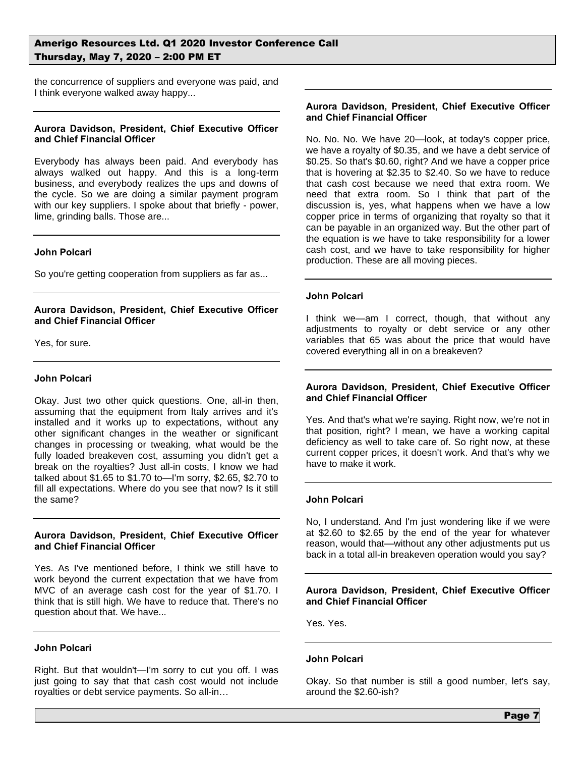the concurrence of suppliers and everyone was paid, and I think everyone walked away happy...

#### **Aurora Davidson, President, Chief Executive Officer and Chief Financial Officer**

Everybody has always been paid. And everybody has always walked out happy. And this is a long-term business, and everybody realizes the ups and downs of the cycle. So we are doing a similar payment program with our key suppliers. I spoke about that briefly - power, lime, grinding balls. Those are...

## **John Polcari**

So you're getting cooperation from suppliers as far as...

# **Aurora Davidson, President, Chief Executive Officer and Chief Financial Officer**

Yes, for sure.

#### **John Polcari**

Okay. Just two other quick questions. One, all-in then, assuming that the equipment from Italy arrives and it's installed and it works up to expectations, without any other significant changes in the weather or significant changes in processing or tweaking, what would be the fully loaded breakeven cost, assuming you didn't get a break on the royalties? Just all-in costs, I know we had talked about \$1.65 to \$1.70 to—I'm sorry, \$2.65, \$2.70 to fill all expectations. Where do you see that now? Is it still the same?

#### **Aurora Davidson, President, Chief Executive Officer and Chief Financial Officer**

Yes. As I've mentioned before, I think we still have to work beyond the current expectation that we have from MVC of an average cash cost for the year of \$1.70. I think that is still high. We have to reduce that. There's no question about that. We have...

#### **John Polcari**

Right. But that wouldn't—I'm sorry to cut you off. I was just going to say that that cash cost would not include royalties or debt service payments. So all-in…

## **Aurora Davidson, President, Chief Executive Officer and Chief Financial Officer**

No. No. No. We have 20—look, at today's copper price, we have a royalty of \$0.35, and we have a debt service of \$0.25. So that's \$0.60, right? And we have a copper price that is hovering at \$2.35 to \$2.40. So we have to reduce that cash cost because we need that extra room. We need that extra room. So I think that part of the discussion is, yes, what happens when we have a low copper price in terms of organizing that royalty so that it can be payable in an organized way. But the other part of the equation is we have to take responsibility for a lower cash cost, and we have to take responsibility for higher production. These are all moving pieces.

#### **John Polcari**

I think we—am I correct, though, that without any adjustments to royalty or debt service or any other variables that 65 was about the price that would have covered everything all in on a breakeven?

# **Aurora Davidson, President, Chief Executive Officer and Chief Financial Officer**

Yes. And that's what we're saying. Right now, we're not in that position, right? I mean, we have a working capital deficiency as well to take care of. So right now, at these current copper prices, it doesn't work. And that's why we have to make it work.

## **John Polcari**

No, I understand. And I'm just wondering like if we were at \$2.60 to \$2.65 by the end of the year for whatever reason, would that—without any other adjustments put us back in a total all-in breakeven operation would you say?

#### **Aurora Davidson, President, Chief Executive Officer and Chief Financial Officer**

Yes. Yes.

## **John Polcari**

Okay. So that number is still a good number, let's say, around the \$2.60-ish?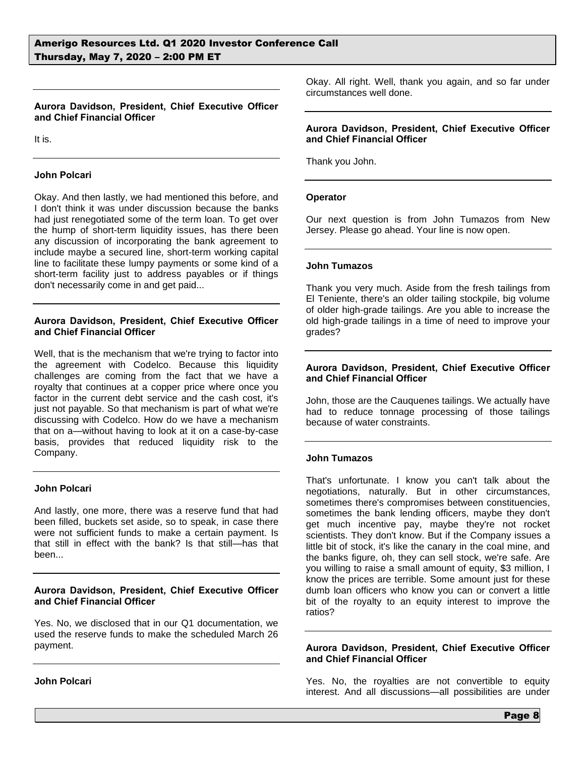# **Aurora Davidson, President, Chief Executive Officer and Chief Financial Officer**

It is.

## **John Polcari**

Okay. And then lastly, we had mentioned this before, and I don't think it was under discussion because the banks had just renegotiated some of the term loan. To get over the hump of short-term liquidity issues, has there been any discussion of incorporating the bank agreement to include maybe a secured line, short-term working capital line to facilitate these lumpy payments or some kind of a short-term facility just to address payables or if things don't necessarily come in and get paid...

## **Aurora Davidson, President, Chief Executive Officer and Chief Financial Officer**

Well, that is the mechanism that we're trying to factor into the agreement with Codelco. Because this liquidity challenges are coming from the fact that we have a royalty that continues at a copper price where once you factor in the current debt service and the cash cost, it's just not payable. So that mechanism is part of what we're discussing with Codelco. How do we have a mechanism that on a—without having to look at it on a case-by-case basis, provides that reduced liquidity risk to the Company.

# **John Polcari**

And lastly, one more, there was a reserve fund that had been filled, buckets set aside, so to speak, in case there were not sufficient funds to make a certain payment. Is that still in effect with the bank? Is that still—has that been...

#### **Aurora Davidson, President, Chief Executive Officer and Chief Financial Officer**

Yes. No, we disclosed that in our Q1 documentation, we used the reserve funds to make the scheduled March 26 payment.

**John Polcari**

Okay. All right. Well, thank you again, and so far under circumstances well done.

## **Aurora Davidson, President, Chief Executive Officer and Chief Financial Officer**

Thank you John.

## **Operator**

Our next question is from John Tumazos from New Jersey. Please go ahead. Your line is now open.

## **John Tumazos**

Thank you very much. Aside from the fresh tailings from El Teniente, there's an older tailing stockpile, big volume of older high-grade tailings. Are you able to increase the old high-grade tailings in a time of need to improve your grades?

## **Aurora Davidson, President, Chief Executive Officer and Chief Financial Officer**

John, those are the Cauquenes tailings. We actually have had to reduce tonnage processing of those tailings because of water constraints.

## **John Tumazos**

That's unfortunate. I know you can't talk about the negotiations, naturally. But in other circumstances, sometimes there's compromises between constituencies, sometimes the bank lending officers, maybe they don't get much incentive pay, maybe they're not rocket scientists. They don't know. But if the Company issues a little bit of stock, it's like the canary in the coal mine, and the banks figure, oh, they can sell stock, we're safe. Are you willing to raise a small amount of equity, \$3 million, I know the prices are terrible. Some amount just for these dumb loan officers who know you can or convert a little bit of the royalty to an equity interest to improve the ratios?

#### **Aurora Davidson, President, Chief Executive Officer and Chief Financial Officer**

Yes. No, the royalties are not convertible to equity interest. And all discussions—all possibilities are under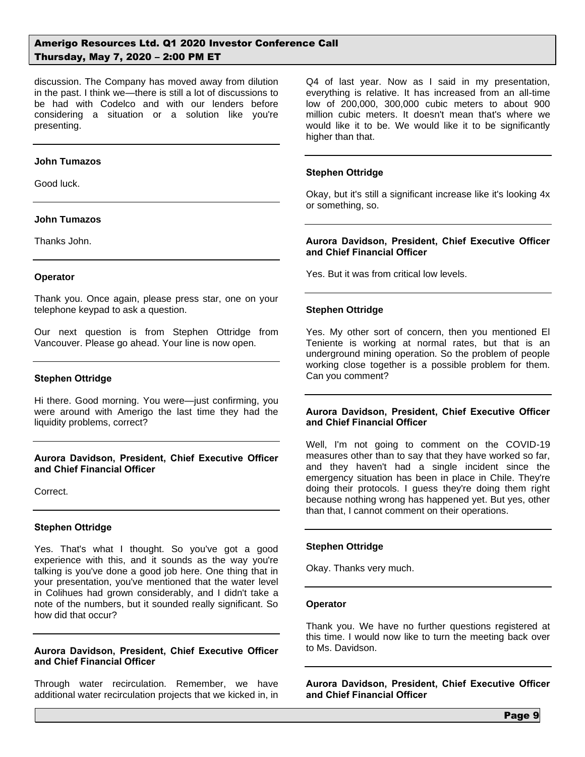discussion. The Company has moved away from dilution in the past. I think we—there is still a lot of discussions to be had with Codelco and with our lenders before considering a situation or a solution like you're presenting.

#### **John Tumazos**

Good luck.

#### **John Tumazos**

Thanks John.

## **Operator**

Thank you. Once again, please press star, one on your telephone keypad to ask a question.

Our next question is from Stephen Ottridge from Vancouver. Please go ahead. Your line is now open.

## **Stephen Ottridge**

Hi there. Good morning. You were—just confirming, you were around with Amerigo the last time they had the liquidity problems, correct?

## **Aurora Davidson, President, Chief Executive Officer and Chief Financial Officer**

Correct.

## **Stephen Ottridge**

Yes. That's what I thought. So you've got a good experience with this, and it sounds as the way you're talking is you've done a good job here. One thing that in your presentation, you've mentioned that the water level in Colihues had grown considerably, and I didn't take a note of the numbers, but it sounded really significant. So how did that occur?

## **Aurora Davidson, President, Chief Executive Officer and Chief Financial Officer**

Through water recirculation. Remember, we have additional water recirculation projects that we kicked in, in Q4 of last year. Now as I said in my presentation, everything is relative. It has increased from an all-time low of 200,000, 300,000 cubic meters to about 900 million cubic meters. It doesn't mean that's where we would like it to be. We would like it to be significantly higher than that.

## **Stephen Ottridge**

Okay, but it's still a significant increase like it's looking 4x or something, so.

## **Aurora Davidson, President, Chief Executive Officer and Chief Financial Officer**

Yes. But it was from critical low levels.

## **Stephen Ottridge**

Yes. My other sort of concern, then you mentioned El Teniente is working at normal rates, but that is an underground mining operation. So the problem of people working close together is a possible problem for them. Can you comment?

#### **Aurora Davidson, President, Chief Executive Officer and Chief Financial Officer**

Well, I'm not going to comment on the COVID-19 measures other than to say that they have worked so far, and they haven't had a single incident since the emergency situation has been in place in Chile. They're doing their protocols. I guess they're doing them right because nothing wrong has happened yet. But yes, other than that, I cannot comment on their operations.

## **Stephen Ottridge**

Okay. Thanks very much.

#### **Operator**

Thank you. We have no further questions registered at this time. I would now like to turn the meeting back over to Ms. Davidson.

**Aurora Davidson, President, Chief Executive Officer and Chief Financial Officer**